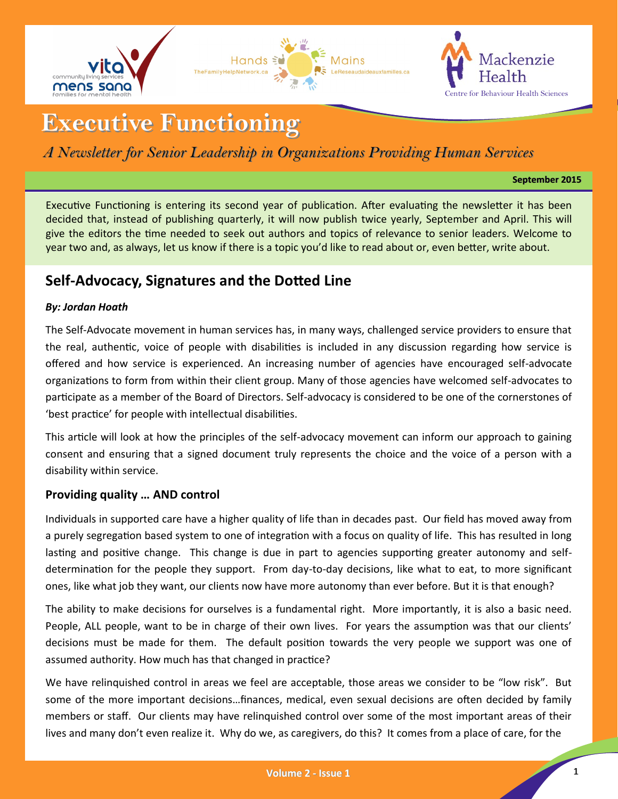

# **Executive Functioning**

*A Newsletter for Senior Leadership in Organizations Providing Human Services*

**September 2015**

Executive Functioning is entering its second year of publication. After evaluating the newsletter it has been decided that, instead of publishing quarterly, it will now publish twice yearly, September and April. This will give the editors the time needed to seek out authors and topics of relevance to senior leaders. Welcome to year two and, as always, let us know if there is a topic you'd like to read about or, even better, write about.

# **Self-Advocacy, Signatures and the Dotted Line**

#### *By: Jordan Hoath*

The Self-Advocate movement in human services has, in many ways, challenged service providers to ensure that the real, authentic, voice of people with disabilities is included in any discussion regarding how service is offered and how service is experienced. An increasing number of agencies have encouraged self-advocate organizations to form from within their client group. Many of those agencies have welcomed self-advocates to participate as a member of the Board of Directors. Self-advocacy is considered to be one of the cornerstones of 'best practice' for people with intellectual disabilities.

This article will look at how the principles of the self-advocacy movement can inform our approach to gaining consent and ensuring that a signed document truly represents the choice and the voice of a person with a disability within service.

# **Providing quality … AND control**

Individuals in supported care have a higher quality of life than in decades past. Our field has moved away from a purely segregation based system to one of integration with a focus on quality of life. This has resulted in long lasting and positive change. This change is due in part to agencies supporting greater autonomy and selfdetermination for the people they support. From day-to-day decisions, like what to eat, to more significant ones, like what job they want, our clients now have more autonomy than ever before. But it is that enough?

The ability to make decisions for ourselves is a fundamental right. More importantly, it is also a basic need. People, ALL people, want to be in charge of their own lives. For years the assumption was that our clients' decisions must be made for them. The default position towards the very people we support was one of assumed authority. How much has that changed in practice?

We have relinquished control in areas we feel are acceptable, those areas we consider to be "low risk". But some of the more important decisions…finances, medical, even sexual decisions are often decided by family members or staff. Our clients may have relinquished control over some of the most important areas of their lives and many don't even realize it. Why do we, as caregivers, do this? It comes from a place of care, for the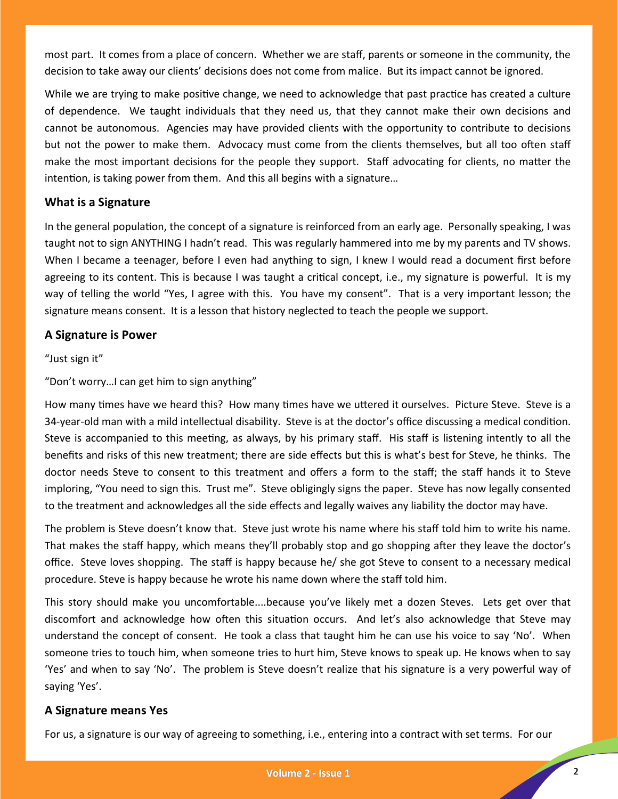most part. It comes from a place of concern. Whether we are staff, parents or someone in the community, the decision to take away our clients' decisions does not come from malice. But its impact cannot be ignored.

While we are trying to make positive change, we need to acknowledge that past practice has created a culture of dependence. We taught individuals that they need us, that they cannot make their own decisions and cannot be autonomous. Agencies may have provided clients with the opportunity to contribute to decisions but not the power to make them. Advocacy must come from the clients themselves, but all too often staff make the most important decisions for the people they support. Staff advocating for clients, no matter the intention, is taking power from them. And this all begins with a signature…

#### **What is a Signature**

In the general population, the concept of a signature is reinforced from an early age. Personally speaking, I was taught not to sign ANYTHING I hadn't read. This was regularly hammered into me by my parents and TV shows. When I became a teenager, before I even had anything to sign, I knew I would read a document first before agreeing to its content. This is because I was taught a critical concept, i.e., my signature is powerful. It is my way of telling the world "Yes, I agree with this. You have my consent". That is a very important lesson; the signature means consent. It is a lesson that history neglected to teach the people we support.

#### **A Signature is Power**

#### "Just sign it"

"Don't worry…I can get him to sign anything"

How many times have we heard this? How many times have we uttered it ourselves. Picture Steve. Steve is a 34-year-old man with a mild intellectual disability. Steve is at the doctor's office discussing a medical condition. Steve is accompanied to this meeting, as always, by his primary staff. His staff is listening intently to all the benefits and risks of this new treatment; there are side effects but this is what's best for Steve, he thinks. The doctor needs Steve to consent to this treatment and offers a form to the staff; the staff hands it to Steve imploring, "You need to sign this. Trust me". Steve obligingly signs the paper. Steve has now legally consented to the treatment and acknowledges all the side effects and legally waives any liability the doctor may have.

The problem is Steve doesn't know that. Steve just wrote his name where his staff told him to write his name. That makes the staff happy, which means they'll probably stop and go shopping after they leave the doctor's office. Steve loves shopping. The staff is happy because he/ she got Steve to consent to a necessary medical procedure. Steve is happy because he wrote his name down where the staff told him.

This story should make you uncomfortable....because you've likely met a dozen Steves. Lets get over that discomfort and acknowledge how often this situation occurs. And let's also acknowledge that Steve may understand the concept of consent. He took a class that taught him he can use his voice to say 'No'. When someone tries to touch him, when someone tries to hurt him, Steve knows to speak up. He knows when to say 'Yes' and when to say 'No'. The problem is Steve doesn't realize that his signature is a very powerful way of saying 'Yes'.

#### **A Signature means Yes**

For us, a signature is our way of agreeing to something, i.e., entering into a contract with set terms. For our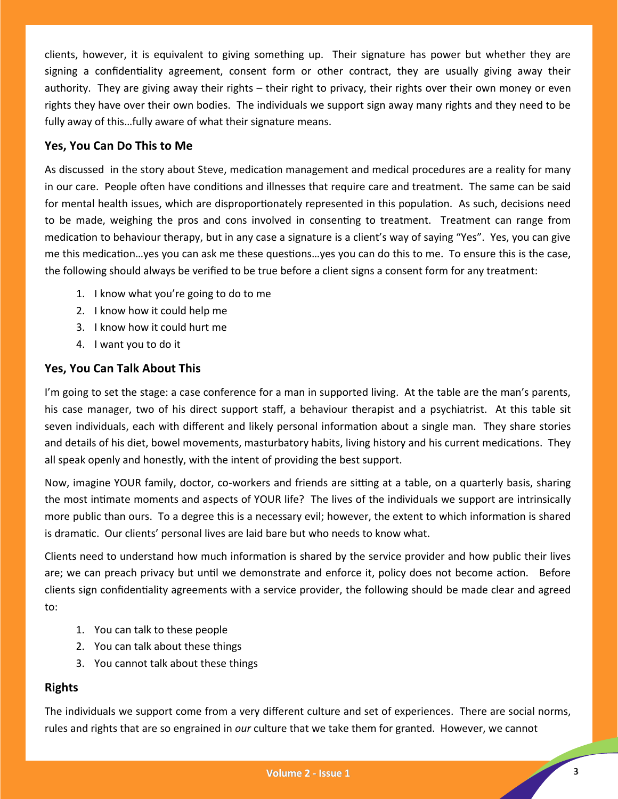clients, however, it is equivalent to giving something up. Their signature has power but whether they are signing a confidentiality agreement, consent form or other contract, they are usually giving away their authority. They are giving away their rights – their right to privacy, their rights over their own money or even rights they have over their own bodies. The individuals we support sign away many rights and they need to be fully away of this…fully aware of what their signature means.

### **Yes, You Can Do This to Me**

As discussed in the story about Steve, medication management and medical procedures are a reality for many in our care. People often have conditions and illnesses that require care and treatment. The same can be said for mental health issues, which are disproportionately represented in this population. As such, decisions need to be made, weighing the pros and cons involved in consenting to treatment. Treatment can range from medication to behaviour therapy, but in any case a signature is a client's way of saying "Yes". Yes, you can give me this medication…yes you can ask me these questions…yes you can do this to me. To ensure this is the case, the following should always be verified to be true before a client signs a consent form for any treatment:

- 1. I know what you're going to do to me
- 2. I know how it could help me
- 3. I know how it could hurt me
- 4. I want you to do it

# **Yes, You Can Talk About This**

I'm going to set the stage: a case conference for a man in supported living. At the table are the man's parents, his case manager, two of his direct support staff, a behaviour therapist and a psychiatrist. At this table sit seven individuals, each with different and likely personal information about a single man. They share stories and details of his diet, bowel movements, masturbatory habits, living history and his current medications. They all speak openly and honestly, with the intent of providing the best support.

Now, imagine YOUR family, doctor, co-workers and friends are sitting at a table, on a quarterly basis, sharing the most intimate moments and aspects of YOUR life? The lives of the individuals we support are intrinsically more public than ours. To a degree this is a necessary evil; however, the extent to which information is shared is dramatic. Our clients' personal lives are laid bare but who needs to know what.

Clients need to understand how much information is shared by the service provider and how public their lives are; we can preach privacy but until we demonstrate and enforce it, policy does not become action. Before clients sign confidentiality agreements with a service provider, the following should be made clear and agreed to:

- 1. You can talk to these people
- 2. You can talk about these things
- 3. You cannot talk about these things

# **Rights**

The individuals we support come from a very different culture and set of experiences. There are social norms, rules and rights that are so engrained in *our* culture that we take them for granted. However, we cannot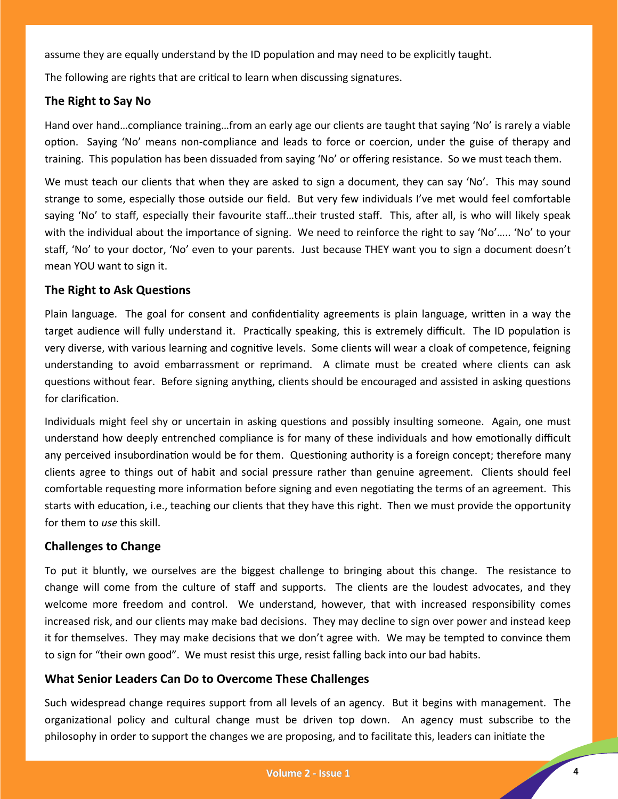assume they are equally understand by the ID population and may need to be explicitly taught.

The following are rights that are critical to learn when discussing signatures.

# **The Right to Say No**

Hand over hand…compliance training…from an early age our clients are taught that saying 'No' is rarely a viable option. Saying 'No' means non-compliance and leads to force or coercion, under the guise of therapy and training. This population has been dissuaded from saying 'No' or offering resistance. So we must teach them.

We must teach our clients that when they are asked to sign a document, they can say 'No'. This may sound strange to some, especially those outside our field. But very few individuals I've met would feel comfortable saying 'No' to staff, especially their favourite staff…their trusted staff. This, after all, is who will likely speak with the individual about the importance of signing. We need to reinforce the right to say 'No'..... 'No' to your staff, 'No' to your doctor, 'No' even to your parents. Just because THEY want you to sign a document doesn't mean YOU want to sign it.

# **The Right to Ask Questions**

Plain language. The goal for consent and confidentiality agreements is plain language, written in a way the target audience will fully understand it. Practically speaking, this is extremely difficult. The ID population is very diverse, with various learning and cognitive levels. Some clients will wear a cloak of competence, feigning understanding to avoid embarrassment or reprimand. A climate must be created where clients can ask questions without fear. Before signing anything, clients should be encouraged and assisted in asking questions for clarification.

Individuals might feel shy or uncertain in asking questions and possibly insulting someone. Again, one must understand how deeply entrenched compliance is for many of these individuals and how emotionally difficult any perceived insubordination would be for them. Questioning authority is a foreign concept; therefore many clients agree to things out of habit and social pressure rather than genuine agreement. Clients should feel comfortable requesting more information before signing and even negotiating the terms of an agreement. This starts with education, i.e., teaching our clients that they have this right. Then we must provide the opportunity for them to *use* this skill.

# **Challenges to Change**

To put it bluntly, we ourselves are the biggest challenge to bringing about this change. The resistance to change will come from the culture of staff and supports. The clients are the loudest advocates, and they welcome more freedom and control. We understand, however, that with increased responsibility comes increased risk, and our clients may make bad decisions. They may decline to sign over power and instead keep it for themselves. They may make decisions that we don't agree with. We may be tempted to convince them to sign for "their own good". We must resist this urge, resist falling back into our bad habits.

# **What Senior Leaders Can Do to Overcome These Challenges**

Such widespread change requires support from all levels of an agency. But it begins with management. The organizational policy and cultural change must be driven top down. An agency must subscribe to the philosophy in order to support the changes we are proposing, and to facilitate this, leaders can initiate the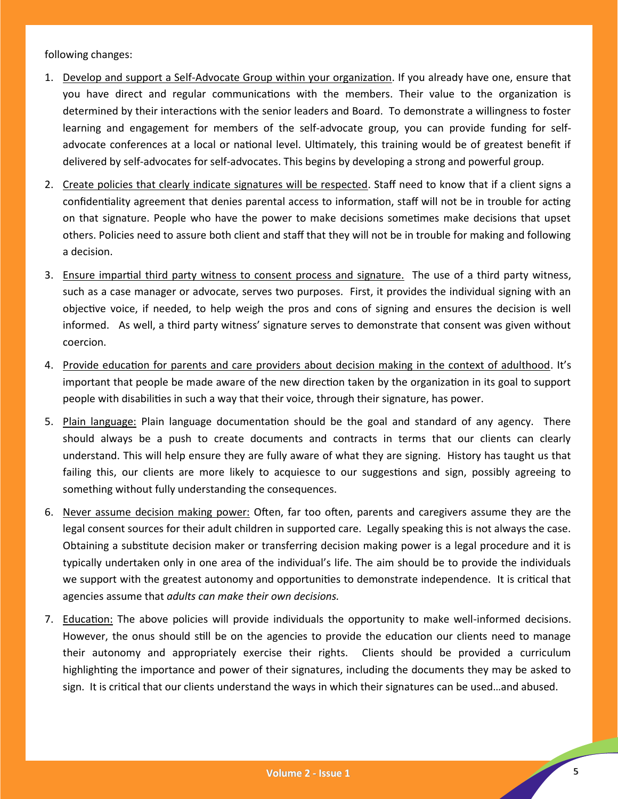following changes:

- 1. Develop and support a Self-Advocate Group within your organization. If you already have one, ensure that you have direct and regular communications with the members. Their value to the organization is determined by their interactions with the senior leaders and Board. To demonstrate a willingness to foster learning and engagement for members of the self-advocate group, you can provide funding for selfadvocate conferences at a local or national level. Ultimately, this training would be of greatest benefit if delivered by self-advocates for self-advocates. This begins by developing a strong and powerful group.
- 2. Create policies that clearly indicate signatures will be respected. Staff need to know that if a client signs a confidentiality agreement that denies parental access to information, staff will not be in trouble for acting on that signature. People who have the power to make decisions sometimes make decisions that upset others. Policies need to assure both client and staff that they will not be in trouble for making and following a decision.
- 3. Ensure impartial third party witness to consent process and signature. The use of a third party witness, such as a case manager or advocate, serves two purposes. First, it provides the individual signing with an objective voice, if needed, to help weigh the pros and cons of signing and ensures the decision is well informed. As well, a third party witness' signature serves to demonstrate that consent was given without coercion.
- 4. Provide education for parents and care providers about decision making in the context of adulthood. It's important that people be made aware of the new direction taken by the organization in its goal to support people with disabilities in such a way that their voice, through their signature, has power.
- 5. Plain language: Plain language documentation should be the goal and standard of any agency. There should always be a push to create documents and contracts in terms that our clients can clearly understand. This will help ensure they are fully aware of what they are signing. History has taught us that failing this, our clients are more likely to acquiesce to our suggestions and sign, possibly agreeing to something without fully understanding the consequences.
- 6. Never assume decision making power: Often, far too often, parents and caregivers assume they are the legal consent sources for their adult children in supported care. Legally speaking this is not always the case. Obtaining a substitute decision maker or transferring decision making power is a legal procedure and it is typically undertaken only in one area of the individual's life. The aim should be to provide the individuals we support with the greatest autonomy and opportunities to demonstrate independence. It is critical that agencies assume that *adults can make their own decisions.*
- 7. Education: The above policies will provide individuals the opportunity to make well-informed decisions. However, the onus should still be on the agencies to provide the education our clients need to manage their autonomy and appropriately exercise their rights. Clients should be provided a curriculum highlighting the importance and power of their signatures, including the documents they may be asked to sign. It is critical that our clients understand the ways in which their signatures can be used…and abused.